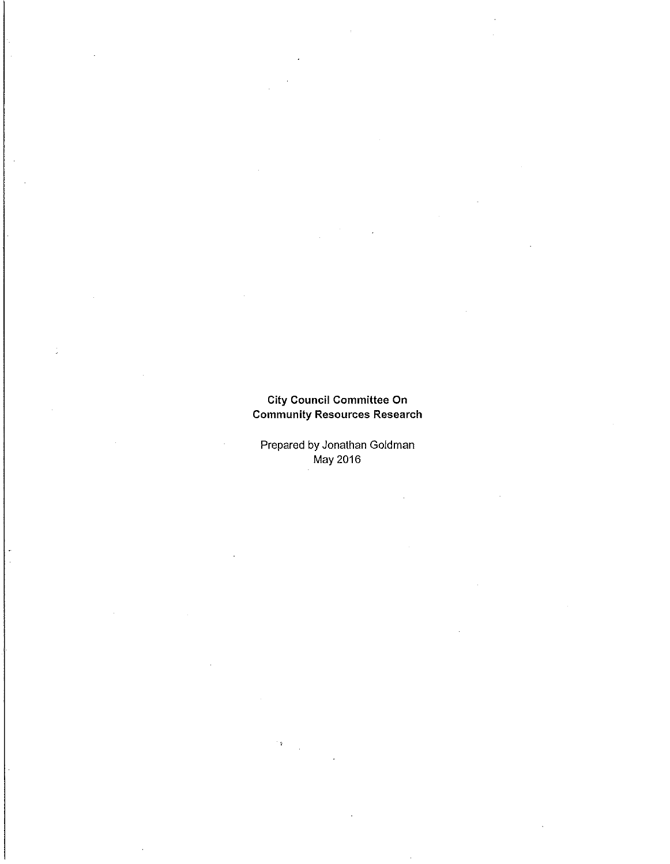# City Council Committee On Community Resources Research

Prepared by Jonathan Goldman May 2016

 $\cdot$   $\alpha$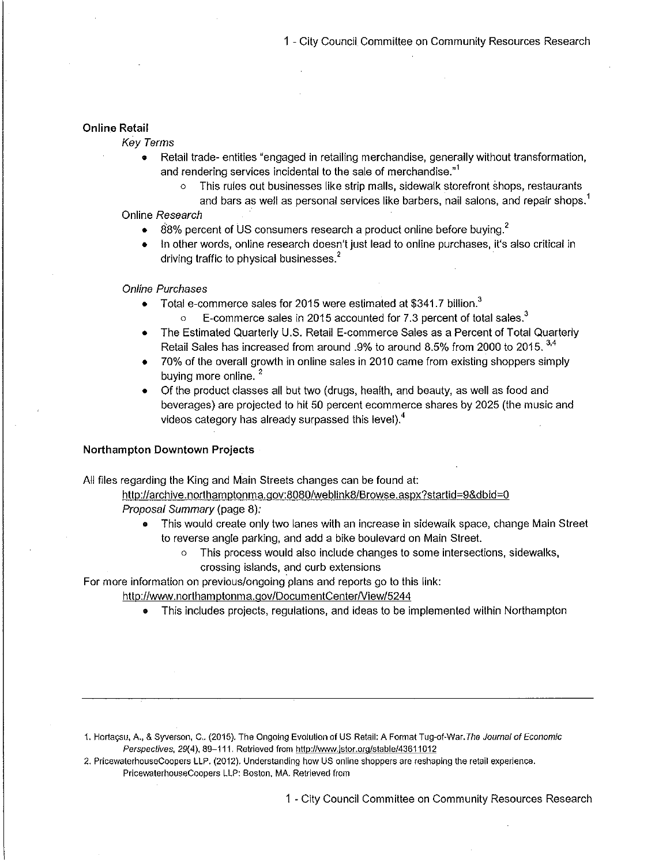## Online Retail

- Key Terms
	- Retail trade- entities" engaged in retailing merchandise, generally without transformation,  $\bullet$ and rendering services incidental to the sale of merchandise."<sup>1</sup>
		- o This rules out businesses like strip malls, sidewalk storefront shops, restaurants and bars as well as personal services like barbers, nail salons, and repair shops.'

Online Research

- $\bullet$  88% percent of US consumers research a product online before buying.<sup>2</sup>
- In other words, online research doesn't just lead to online purchases, it's also critical in driving traffic to physical businesses.<sup>2</sup>

Online Purchases

- Total e-commerce sales for 2015 were estimated at \$341.7 billion.<sup>3</sup>  $\bullet$ 
	- E-commerce sales in 2015 accounted for 7.3 percent of total sales. $3$
- The Estimated Quarterly U.S. Retail E-commerce Sales as a Percent of Total Quarterly Retail Sales has increased from around .9% to around 8.5% from 2000 to 2015.  $3.4$
- 70% of the overall growth in online sales in 2010 came from existing shoppers simply buying more online.<sup>2</sup>
- Of the product classes all but two ( drugs, health, and beauty, as well as food and beverages) are projected to hit 50 percent ecommerce shares by 2025 (the music and videos category has already surpassed this level). $<sup>4</sup>$ </sup>

## Northampton Downtown Projects

All files regarding the King and Main Streets changes can be found at:

http://archive.northamptonma.gov:8080/weblink8/Browse.aspx?startid=9&dbid=0 Proposal Summary( page 8):

- $\bullet$ This would create only two lanes with an increase in sidewalk space, change Main Street to reverse angle parking, and add a bike boulevard on Main Street.
	- o This process would also include changes to some intersections, sidewalks, crossing islands, and curb extensions

For more information on previous/ongoing plans and reports go to this link:

http://www.northamptonma.gov/DocumentCenter/View/5244

This includes projects, regulations, and ideas to be implemented within Northampton

- 1. Hortaçsu, A., & Syverson, C.. (2015). The Ongoing Evolution of US Retail: A Format Tug-of-War. The Journal of Economic Perspectives, 29(4), 89-111. Retrieved from http://www.jstor.org/stable/43611012
- 2. PricewaterhouseCoopers LLP.( 2012). Understanding how US online shoppers are reshaping the retail experience. PricewaterhouseCoopers LLP: Boston, MA. Retrieved from

1 - City Council Committee on Community Resources Research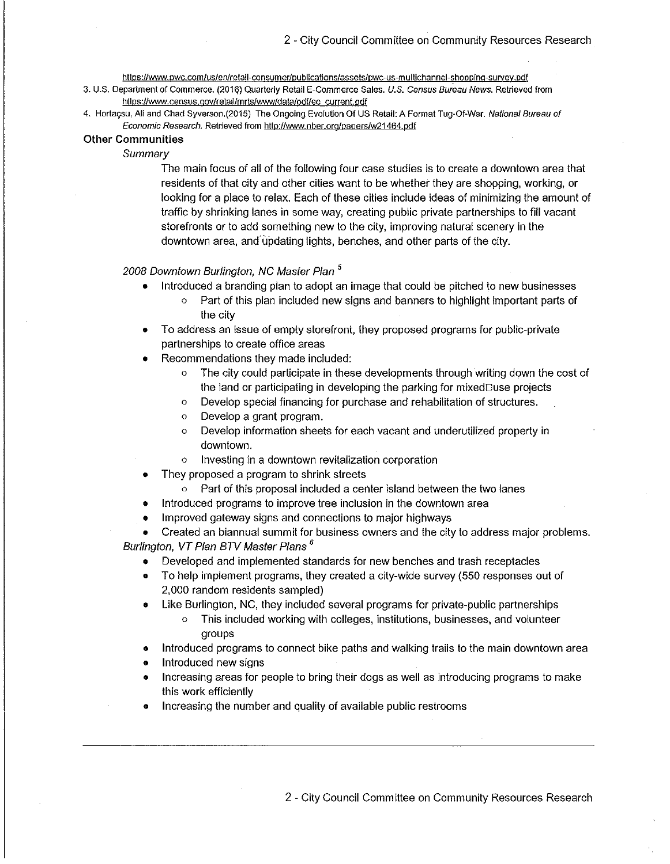https://www.pwc.com/us/en/retail-consumer/publications/assets/pwc-us-multichannel-shopping-survey.pdf

- 3. U.S. Department of Commerce. (2016) Quarterly Retail E-Commerce Sales. U.S. Census Bureau News. Retrieved from htlps://www.census.qov/retail/mrts/www/data/pdf/ec current.pdf
- 4. Hortaçsu, Ali and Chad Syverson.(2015) The Ongoing Evolution Of US Retail: A Format Tug-Of-War. National Bureau of Economic Research. Retrieved from http://www.nber.org/papers/w21464.pdf

#### Other Communities

Summary

The main focus of all of the following four case studies is to create a downtown area that residents of that city and other cities want to be whether they are shopping, working, or looking for a place to relax. Each of these cities include ideas of minimizing the amount of traffic by shrinking lanes in some way, creating public private partnerships to fill vacant storefronts or to add something new to the city, improving natural scenery in the downtown area, and updating lights, benches, and other parts of the city.

## 2008 Downtown Burlington, NC Master Plan <sup>5</sup>

- Introduced a branding plan to adopt an image that could be pitched to new businesses
	- o Part of this plan included new signs and banners to highlight important parts of the city
- To address an issue of empty storefront, they proposed programs for public-private partnerships to create office areas
- Recommendations they made included:
	- o The city could participate in these developments through writing down the cost of the land or participating in developing the parking for mixed $\square$ use projects
	- o Develop special financing for purchase and rehabilitation of structures.
	- o Develop a grant program.
	- o Develop information sheets for each vacant and underutilized property in downtown.
	- o Investing in a downtown revitalization corporation
- They proposed a program to shrink streets
	- o Part of this proposal included a center island between the two lanes
- Introduced programs to improve tree inclusion in the downtown area
- Improved gateway signs and connections to major highways

Created an biannual summit for business owners and the city to address major problems. Burlington, VT Plan BTV Master Plans<sup>6</sup>

- Developed and implemented standards for new benches and trash receptacles
- To help implement programs, they created a city-wide survey( 550 responses out of 2, 000 random residents sampled)
- Like Burlington, NC, they included several programs for private-public partnerships
	- o This included working with colleges, institutions, businesses, and volunteer groups
- Introduced programs to connect bike paths and walking trails to the main downtown area
- Introduced new signs
- Increasing areas for people to bring their dogs as well as introducing programs to make this work efficiently
- Increasing the number and quality of available public restrooms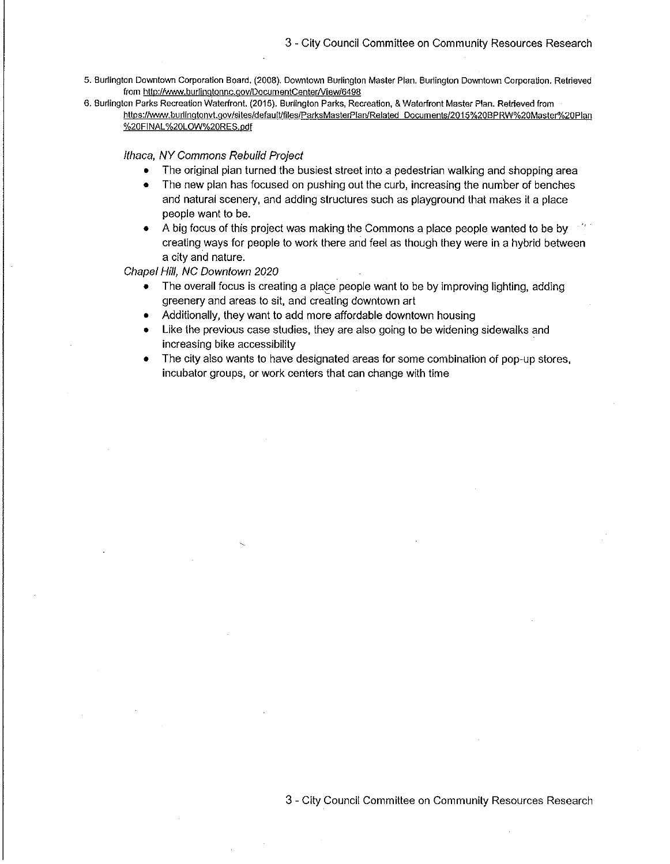- 5. Burlington Downtown Corporation Board.( 2008). Downtown Burlington Master Plan. Burlington Downtown Corporation. Retrieved from http://www.burlingtonnc.gov/DocumentCenter/View/6498
- 6. Burlington Parks Recreation Waterfront.( 2015). Burlington Parks, Recreation,& Waterfront Master Plan. Retrieved from https://www.burlingtonvt.gov/sites/default/files/ParksMasterPlan/Related Documents/2015%20BPRW%20Master%20Plan %20FINAL%20LOW%20RES.pdf

Ithaca, NY Commons Rebuild Project

- The original plan turned the busiest street into a pedestrian walking and shopping area
- The new plan has focused on pushing out the curb, increasing the number of benches and natural scenery, and adding structures such as playground that makes it a place people want to be.
- A big focus of this project was making the Commons a place people wanted to be by creating ways for people to work there and feel as though they were in a hybrid between a city and nature.

Chapel Hill, NC Downtown 2020

- The overall focus is creating a place people want to be by improving lighting, adding  $\bullet$ greenery and areas to sit, and creating downtown art
- Additionally, they want to add more affordable downtown housing
- Like the previous case studies, they are also going to be widening sidewalks and increasing bike accessibility
- The city also wants to have designated areas for some combination of pop-up stores, incubator groups, or work centers that can change with time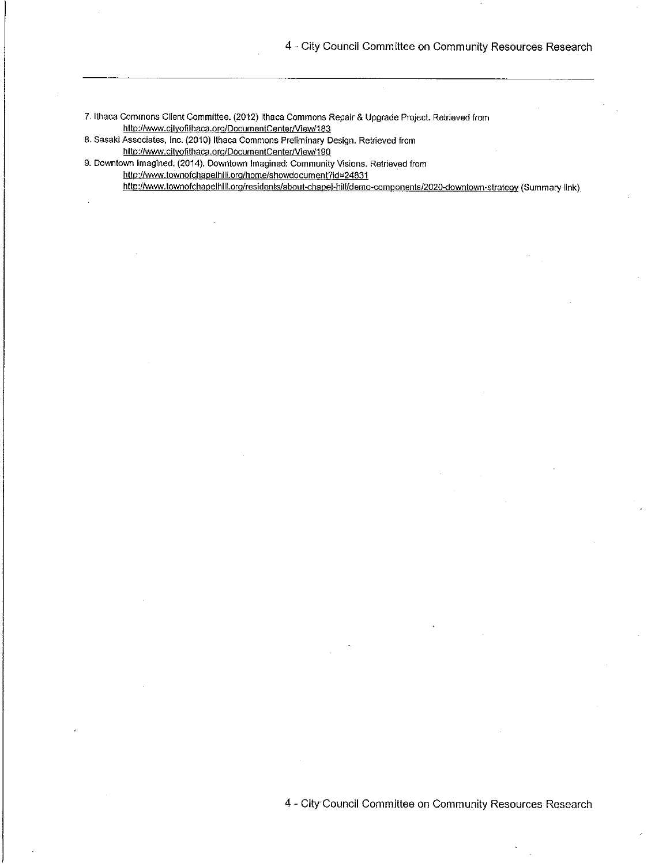7. Ithaca Commons Client Committee. (2012) Ithaca Commons Repair & Upgrade Project. Retrieved from http://www.cityofithaca.org/DocumentCenter/View/183

8. Sasaki Associates, Inc.( 2010) Ithaca Commons Preliminary Design. Retrieved from http://www.cityofithaca.org/DocumentCenter/View/190

9. Downtown Imagined.( 2014). Downtown Imagined: Community Visions. Retrieved from

http://www.townofchapelhill.org/home/showdocument?id=24831

http://www.townofchapelhill.org/residents/about-chapel-hill/demo-components/2020-downtown-strategy (Summary link)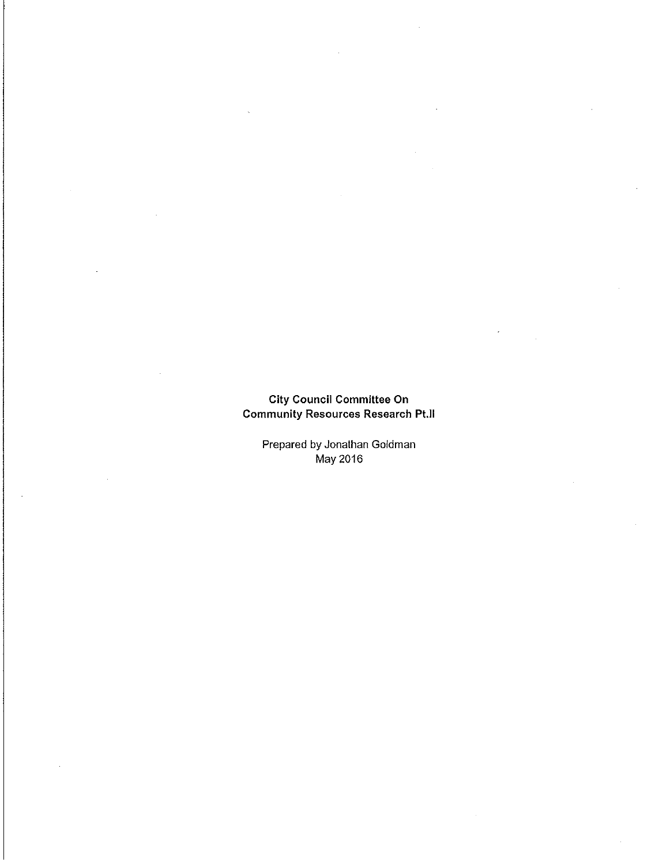## City Council Committee On Community Resources Research Pt.II

Prepared by Jonathan Goldman May 2016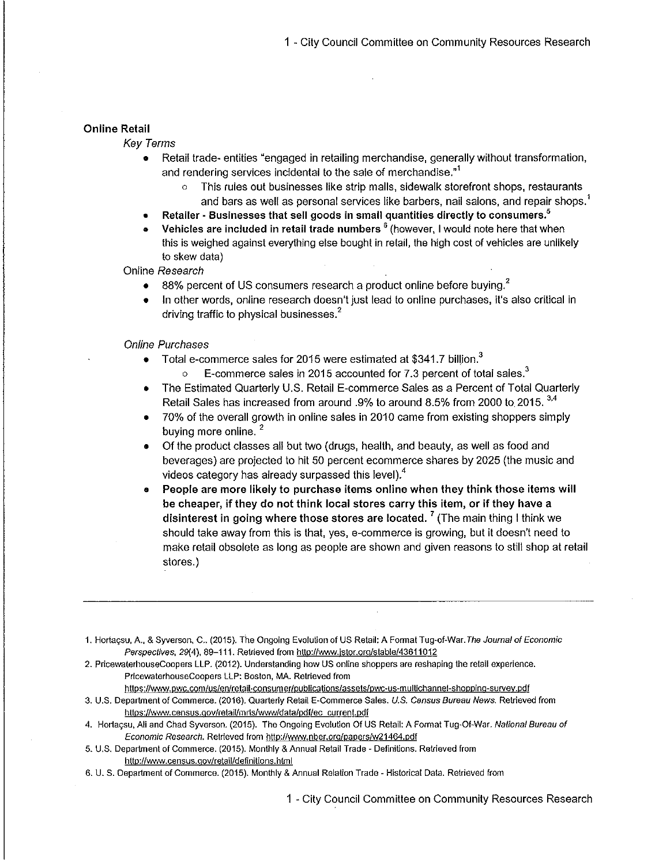## Online Retail

## Key Terms

- Retail trade- entities "engaged in retailing merchandise, generally without transformation, and rendering services incidental to the sale of merchandise.<sup>"1</sup>
	- o This rules out businesses like strip malls, sidewalk storefront shops, restaurants and bars as well as personal services like barbers, nail salons, and repair shops.<sup>1</sup>
- Retailer Businesses that sell goods in small quantities directly to consumers.<sup>5</sup>
- Vehicles are included in retail trade numbers  $<sup>6</sup>$  (however, I would note here that when</sup> this is weighed against everything else bought in retail, the high cost of vehicles are unlikely to skew data)

Online Research

- 88% percent of US consumers research a product online before buying.<sup>2</sup>  $\bullet$
- In other words, online research doesn't just lead to online purchases, it's also critical in driving traffic to physical businesses.<sup>2</sup>

### Online Purchases

- $\bullet$  Total e-commerce sales for 2015 were estimated at \$341.7 billion.<sup>3</sup>
	- $\circ$  E-commerce sales in 2015 accounted for 7.3 percent of total sales.<sup>3</sup>
- The Estimated Quarterly U.S. Retail E-commerce Sales as a Percent of Total Quarterly Retail Sales has increased from around .9% to around 8.5% from 2000 to 2015.<sup>3,4</sup>
- 70% of the overall growth in online sales in 2010 came from existing shoppers simply buying more online.<sup>2</sup>
- Of the product classes all but two (drugs, health, and beauty, as well as food and beverages) are projected to hit 50 percent ecommerce shares by 2025( the music and videos category has already surpassed this level).4
- People are more likely to purchase items online when they think those items will be cheaper, if they do not think local stores carry this item, or if they have a disinterest in going where those stores are located.<sup>7</sup> (The main thing I think we should take away from this is that, yes, e-commerce is growing, but it doesn't need to make retail obsolete as long as people are shown and given reasons to still shop at retail stores.)

1. Hortacsu, A., & Syverson, C.. (2015). The Ongoing Evolution of US Retail: A Format Tug-of-War.The Journal of Economic Perspectives, 29(4), 89-111. Retrieved from http://www.jstor.org/stable/43611012

2. PricewaterhouseCoopers LLP.( 2012). Understanding how US online shoppers are reshaping the retail experience. PricewaterhouseCoopers LLP: Boston, MA. Retrieved from

https://www.pwc.com/us/en/retail-consumer/publications/assets/pwc-us-multichannel-shopping-survey.pdf

- 3. U.S. Department of Commerce. (2016). Quarterly Retail E-Commerce Sales. U.S. Census Bureau News. Retrieved from https://www.census.gov/retail/mrts/www/data/pdf/ec current.pdf
- 4. Hortacsu, Ali and Chad Syverson. (2015). The Ongoing Evolution Of US Retail: A Format Tug-Of-War. National Bureau of Economic Research. Retrieved from http://www.nber.org/papers/w21464.pdf
- 5. U. S. Department of Commerce.( 2015). Monthly& Annual Retail Trade- Definitions. Retrieved from http://www.census.gov/retail/definitions.html
- 6. U. S. Department of Commerce.( 2015). Monthly& Annual Relation Trade- Historical Data. Retrieved from

1 - City Council Committee on Community Resources Research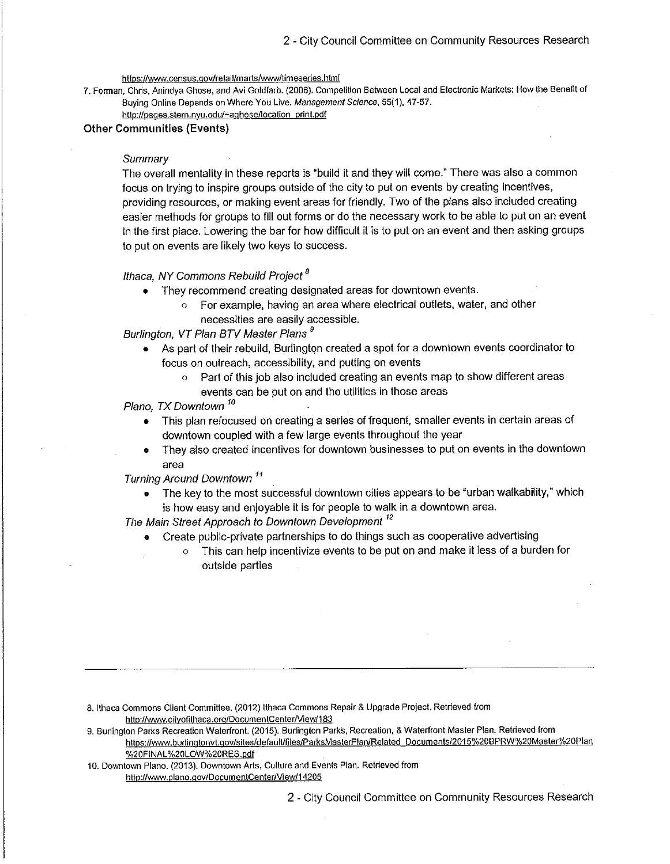https://www.census.gov/retail/marts/www/timeseries.html

7. Forman, Chris, Anindya Ghose, and Avi Goldfarb.( 2006). Competition Between Local and Electronic Markets: How the Benefit of Buying Online Depends on Where You Live. Management Science, 55( 1), 47-57. http://pages.stern.nyu.edu/~aghose/location\_print.pdf

# Other Communities (Events)

#### **Summary**

The overall mentality in these reports is "build it and they will come." There was also a common focus on trying to inspire groups outside of the city to put on events by creating incentives, providing resources, or making event areas for friendly. Two of the plans also included creating easier methods for groups to fill out forms or do the necessary work to be able to put on an event in the first place. Lowering the bar for how difficult it is to put on an event and then asking groups to put on events are likely two keys to success.

#### Ithaca, NY Commons Rebuild Project<sup>8</sup>

- They recommend creating designated areas for downtown events.
	- o For example, having an area where electrical outlets, water, and other necessities are easily accessible.

Burlington, VT Plan BTV Master Plans <sup>9</sup>

- As part of their rebuild, Burlington created a spot for a downtown events coordinator to focus on outreach, accessibility, and putting on events
	- Part of this job also included creating an events map to show different areas events can be put on and the utilities in those areas

Plano, TX Downtown<sup>10</sup>

- This plan refocused on creating a series of frequent, smaller events in certain areas of downtown coupled with a few large events throughout the year
- They also created incentives for downtown businesses to put on events in the downtown  $\bullet$ area

Turning Around Downtown<sup>11</sup>

The key to the most successful downtown cities appears to be "urban walkability," which is how easy and enjoyable it is for people to walk in a downtown area.

The Main Street Approach to Downtown Development<sup>12</sup>

- Create public-private partnerships to do things such as cooperative advertising
	- This can help incentivize events to be put on and make it less of a burden for outside parties

- 8. Ithaca Commons Client Committee.( 2012) Ithaca Commons Repair& Upgrade Project. Retrieved from http://www.cityofithaca.org/DocumentCenter/View/183
- 9. Burlington Parks Recreation Waterfront.( 2015). Burlington Parks, Recreation,& Waterfront Master Plan. Retrieved from https://www.burlingtonvt.gov/sites/default/files/ParksMasterPlan/Related Documents/2015%20BPRW%20Master%20Plan %20FINAL%20LOW%20RES.pdf
- 10. Downtown Plano.( 2013). Downtown Arts, Culture and Events Plan. Retrieved from http://www.plano.gov/DocumentCenter/View/14205

2 - City Council Committee on Community Resources Research